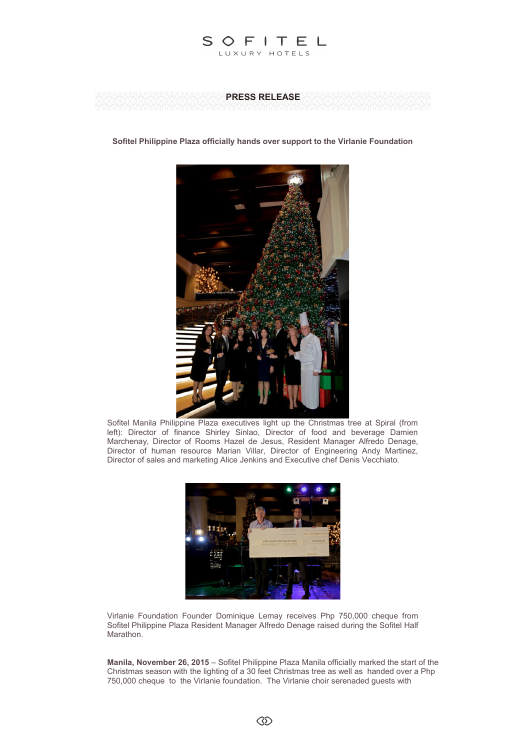



**Sofitel Philippine Plaza officially hands over support to the Virlanie Foundation**



Sofitel Manila Philippine Plaza executives light up the Christmas tree at Spiral (from left): Director of finance Shirley Sinlao, Director of food and beverage Damien Marchenay, Director of Rooms Hazel de Jesus, Resident Manager Alfredo Denage, Director of human resource Marian Villar, Director of Engineering Andy Martinez, Director of sales and marketing Alice Jenkins and Executive chef Denis Vecchiato.



Virlanie Foundation Founder Dominique Lemay receives Php 750,000 cheque from Sofitel Philippine Plaza Resident Manager Alfredo Denage raised during the Sofitel Half Marathon.

**Manila, November 26, 2015** – Sofitel Philippine Plaza Manila officially marked the start of the Christmas season with the lighting of a 30 feet Christmas tree as well as handed over a Php 750,000 cheque to the Virlanie foundation. The Virlanie choir serenaded guests with